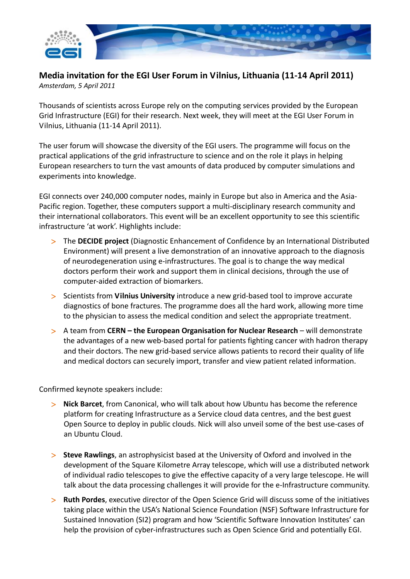

**Media invitation for the EGI User Forum in Vilnius, Lithuania (11‐14 April 2011)** *Amsterdam, 5 April 2011*

Thousands of scientists across Europe rely on the computing services provided by the European Grid Infrastructure (EGI) for their research. Next week, they will meet at the EGI User Forum in Vilnius, Lithuania (11‐14 April 2011).

The user forum will showcase the diversity of the EGI users. The programme will focus on the practical applications of the grid infrastructure to science and on the role it plays in helping European researchers to turn the vast amounts of data produced by computer simulations and experiments into knowledge.

EGI connects over 240,000 computer nodes, mainly in Europe but also in America and the Asia‐ Pacific region. Together, these computers support a multi‐disciplinary research community and their international collaborators. This event will be an excellent opportunity to see this scientific infrastructure 'at work'. Highlights include:

- The **DECIDE project** (Diagnostic Enhancement of Confidence by an International Distributed Environment) will present a live demonstration of an innovative approach to the diagnosis of neurodegeneration using e‐infrastructures. The goal is to change the way medical doctors perform their work and support them in clinical decisions, through the use of computer‐aided extraction of biomarkers.
- Scientists from **Vilnius University** introduce a new grid‐based tool to improve accurate diagnostics of bone fractures. The programme does all the hard work, allowing more time to the physician to assess the medical condition and select the appropriate treatment.
- A team from **CERN – the European Organisation for Nuclear Research** will demonstrate the advantages of a new web‐based portal for patients fighting cancer with hadron therapy and their doctors. The new grid‐based service allows patients to record their quality of life and medical doctors can securely import, transfer and view patient related information.

Confirmed keynote speakers include:

- **Nick Barcet**, from Canonical, who will talk about how Ubuntu has become the reference platform for creating Infrastructure as a Service cloud data centres, and the best guest Open Source to deploy in public clouds. Nick will also unveil some of the best use‐cases of an Ubuntu Cloud.
- **Steve Rawlings**, an astrophysicist based at the University of Oxford and involved in the development of the Square Kilometre Array telescope, which will use a distributed network of individual radio telescopes to give the effective capacity of a very large telescope. He will talk about the data processing challenges it will provide for the e-Infrastructure community.
- **Ruth Pordes**, executive director of the Open Science Grid will discuss some of the initiatives taking place within the USA's National Science Foundation (NSF) Software Infrastructure for Sustained Innovation (SI2) program and how 'Scientific Software Innovation Institutes' can help the provision of cyber-infrastructures such as Open Science Grid and potentially EGI.